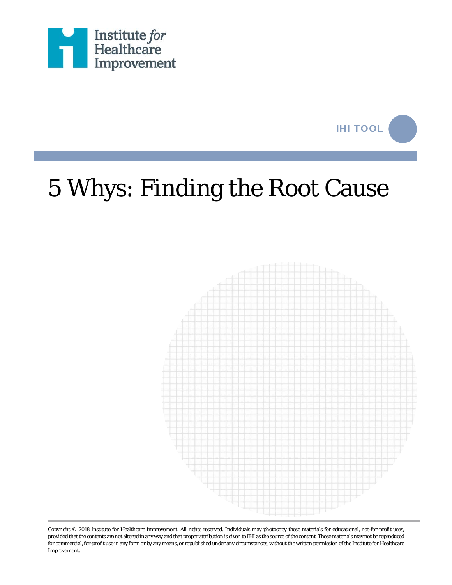



## 5 Whys: Finding the Root Cause



Copyright © 2018 Institute for Healthcare Improvement. All rights reserved. Individuals may photocopy these materials for educational, not-for-profit uses, provided that the contents are not altered in any way and that proper attribution is given to IHI as the source of the content. These materials may not be reproduced for commercial, for-profit use in any form or by any means, or republished under any circumstances, without the written permission of the Institute for Healthcare Improvement.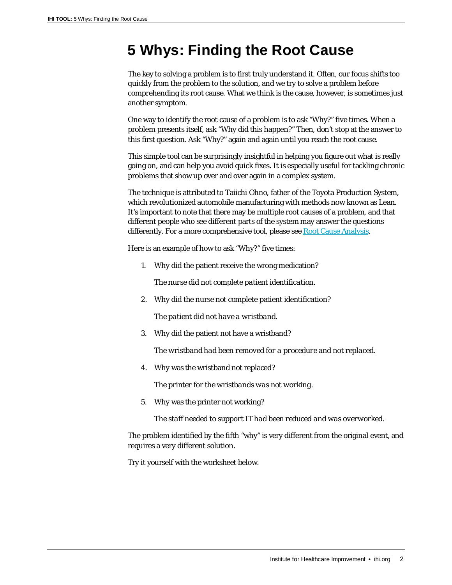## **5 Whys: Finding the Root Cause**

The key to solving a problem is to first truly understand it. Often, our focus shifts too quickly from the problem to the solution, and we try to solve a problem before comprehending its root cause. What we think is the cause, however, is sometimes just another symptom.

One way to identify the root cause of a problem is to ask "Why?" five times. When a problem presents itself, ask "Why did this happen?" Then, don't stop at the answer to this first question. Ask "Why?" again and again until you reach the root cause.

This simple tool can be surprisingly insightful in helping you figure out what is really going on, and can help you avoid quick fixes. It is especially useful for tackling chronic problems that show up over and over again in a complex system.

The technique is attributed to Taiichi Ohno, father of the Toyota Production System, which revolutionized automobile manufacturing with methods now known as Lean. It's important to note that there may be multiple root causes of a problem, and that different people who see different parts of the system may answer the questions differently. For a more comprehensive tool, please see Root [Cause Analysis.](http://www.ihi.org/resources/Pages/Tools/RCA2-Improving-Root-Cause-Analyses-and-Actions-to-Prevent-Harm.aspx)

Here is an example of how to ask "Why?" five times:

1. Why did the patient receive the wrong medication?

*The nurse did not complete patient identification.* 

2. Why did the nurse not complete patient identification?

*The patient did not have a wristband.*

3. Why did the patient not have a wristband?

*The wristband had been removed for a procedure and not replaced.* 

4. Why was the wristband not replaced?

*The printer for the wristbands was not working.* 

5. Why was the printer not working?

*The staff needed to support IT had been reduced and was overworked.*

The problem identified by the fifth "why" is very different from the original event, and requires a very different solution.

Try it yourself with the worksheet below.